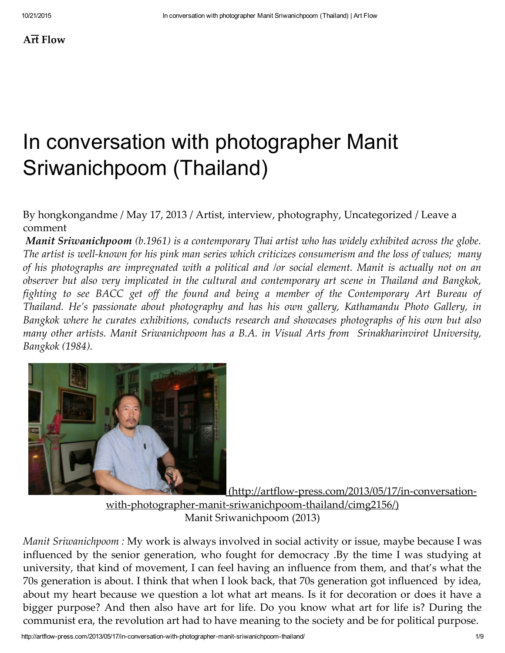# $A\overline{r}t$  [Flow](http://artflow-press.com/)

# In conversation with photographer Manit Sriwanichpoom (Thailand)

# By [hongkongandme](http://artflow-press.com/author/hongkongandme/) / May 17, [2013](http://artflow-press.com/2013/05/17/in-conversation-with-photographer-manit-sriwanichpoom-thailand/) / [Artist](http://artflow-press.com/category/artist/), [interview,](http://artflow-press.com/category/interview/) [photography](http://artflow-press.com/category/photography/), [Uncategorized](http://artflow-press.com/category/uncategorized/) / Leave a comment

Manit Sriwanichpoom (b.1961) is a contemporary Thai artist who has widely exhibited across the globe. The artist is well-known for his pink man series which criticizes consumerism and the loss of values; many of his photographs are impregnated with a political and /or social element. Manit is actually not on an observer but also very implicated in the cultural and contemporary art scene in Thailand and Bangkok, fighting to see BACC get off the found and being a member of the Contemporary Art Bureau of Thailand. He's passionate about photography and has his own gallery, Kathamandu Photo Gallery, in Bangkok where he curates exhibitions, conducts research and showcases photographs of his own but also many other artists. Manit Sriwanichpoom has a B.A. in Visual Arts from Srinakharinvirot University, Bangkok (1984).



(http://artflow-press.com/2013/05/17/in-conversation-

with-photographer-manit-sriwanichpoom-thailand/cimg2156/)

Manit Sriwanichpoom (2013)

Manit Sriwanichpoom : My work is always involved in social activity or issue, maybe because I was influenced by the senior generation, who fought for democracy .By the time I was studying at university, that kind of movement, I can feel having an influence from them, and that's what the 70s generation is about. I think that when I look back, that 70s generation got influenced by idea, about my heart because we question a lot what art means. Is it for decoration or does it have a bigger purpose? And then also have art for life. Do you know what art for life is? During the communist era, the revolution art had to have meaning to the society and be for political purpose.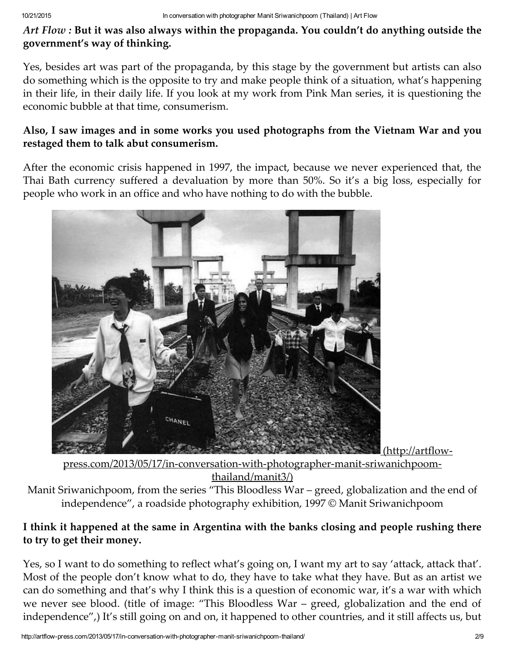Art Flow : But it was also always within the propaganda. You couldn't do anything outside the government's way of thinking.

Yes, besides art was part of the propaganda, by this stage by the government but artists can also do something which is the opposite to try and make people think of a situation, what's happening in their life, in their daily life. If you look at my work from Pink Man series, it is questioning the economic bubble at that time, consumerism.

# Also, I saw images and in some works you used photographs from the Vietnam War and you restaged them to talk abut consumerism.

After the economic crisis happened in 1997, the impact, because we never experienced that, the Thai Bath currency suffered a devaluation by more than 50%. So it's a big loss, especially for people who work in an office and who have nothing to do with the bubble.



press.com/2013/05/17/in-conversation-with-photographer-manit-sriwanichpoomthailand/manit3/)

Manit Sriwanichpoom, from the series "This Bloodless War – greed, globalization and the end of independence", a roadside photography exhibition, 1997 © Manit Sriwanichpoom

# I think it happened at the same in Argentina with the banks closing and people rushing there to try to get their money.

Yes, so I want to do something to reflect what's going on, I want my art to say 'attack, attack that'. Most of the people don't know what to do, they have to take what they have. But as an artist we can do something and that's why I think this is a question of economic war, it's a war with which we never see blood. (title of image: "This Bloodless War – greed, globalization and the end of independence",) It's still going on and on, it happened to other countries, and it still affects us, but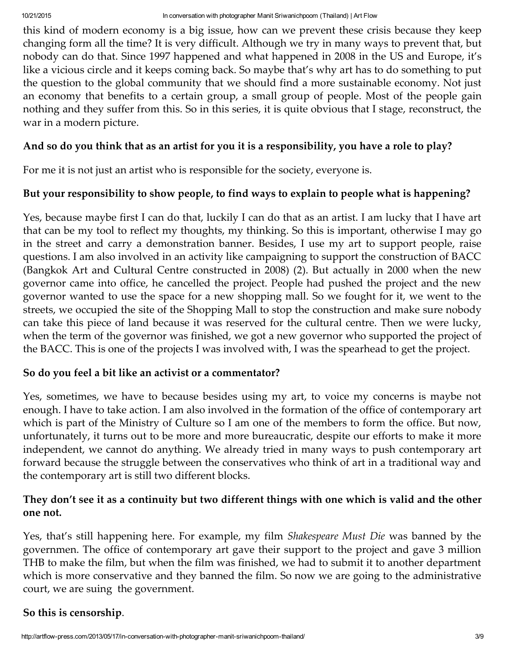this kind of modern economy is a big issue, how can we prevent these crisis because they keep changing form all the time? It is very difficult. Although we try in many ways to prevent that, but nobody can do that. Since 1997 happened and what happened in 2008 in the US and Europe, it's like a vicious circle and it keeps coming back. So maybe that's why art has to do something to put the question to the global community that we should find a more sustainable economy. Not just an economy that benefits to a certain group, a small group of people. Most of the people gain nothing and they suffer from this. So in this series, it is quite obvious that I stage, reconstruct, the war in a modern picture.

#### And so do you think that as an artist for you it is a responsibility, you have a role to play?

For me it is not just an artist who is responsible for the society, everyone is.

#### But your responsibility to show people, to find ways to explain to people what is happening?

Yes, because maybe first I can do that, luckily I can do that as an artist. I am lucky that I have art that can be my tool to reflect my thoughts, my thinking. So this is important, otherwise I may go in the street and carry a demonstration banner. Besides, I use my art to support people, raise questions. I am also involved in an activity like campaigning to support the construction of BACC (Bangkok Art and Cultural Centre constructed in 2008) (2). But actually in 2000 when the new governor came into office, he cancelled the project. People had pushed the project and the new governor wanted to use the space for a new shopping mall. So we fought for it, we went to the streets, we occupied the site of the Shopping Mall to stop the construction and make sure nobody can take this piece of land because it was reserved for the cultural centre. Then we were lucky, when the term of the governor was finished, we got a new governor who supported the project of the BACC. This is one of the projects I was involved with, I was the spearhead to get the project.

#### So do you feel a bit like an activist or a commentator?

Yes, sometimes, we have to because besides using my art, to voice my concerns is maybe not enough. I have to take action. I am also involved in the formation of the office of contemporary art which is part of the Ministry of Culture so I am one of the members to form the office. But now, unfortunately, it turns out to be more and more bureaucratic, despite our efforts to make it more independent, we cannot do anything. We already tried in many ways to push contemporary art forward because the struggle between the conservatives who think of art in a traditional way and the contemporary art is still two different blocks.

# They don't see it as a continuity but two different things with one which is valid and the other one not.

Yes, that's still happening here. For example, my film Shakespeare Must Die was banned by the governmen. The office of contemporary art gave their support to the project and gave 3 million THB to make the film, but when the film was finished, we had to submit it to another department which is more conservative and they banned the film. So now we are going to the administrative court, we are suing the government.

#### So this is censorship.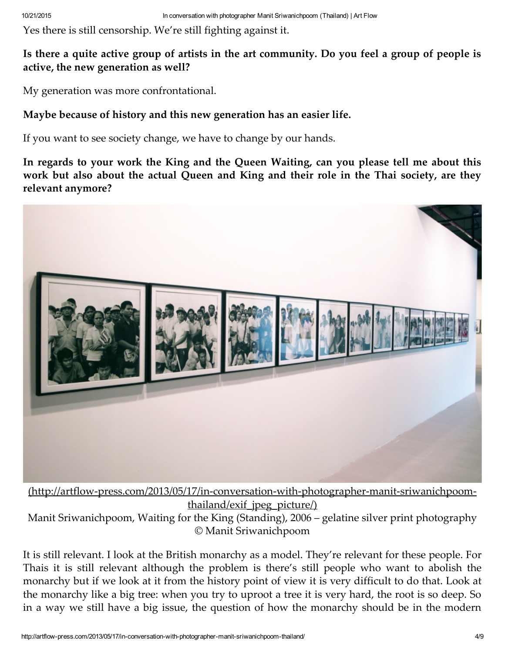Yes there is still censorship. We're still fighting against it.

#### Is there a quite active group of artists in the art community. Do you feel a group of people is active, the new generation as well?

My generation was more confrontational.

#### Maybe because of history and this new generation has an easier life.

If you want to see society change, we have to change by our hands.

In regards to your work the King and the Queen Waiting, can you please tell me about this work but also about the actual Queen and King and their role in the Thai society, are they relevant anymore?



[\(http://artflow‑press.com/2013/05/17/in‑conversation‑with‑photographer‑manit‑sriwanichpoom‑](http://artflow-press.com/2013/05/17/in-conversation-with-photographer-manit-sriwanichpoom-thailand/exif_jpeg_picture/) thailand/exif jpeg\_picture/) Manit Sriwanichpoom, Waiting for the King (Standing), 2006 – gelatine silver print photography © Manit Sriwanichpoom

It is still relevant. I look at the British monarchy as a model. They're relevant for these people. For Thais it is still relevant although the problem is there's still people who want to abolish the monarchy but if we look at it from the history point of view it is very difficult to do that. Look at the monarchy like a big tree: when you try to uproot a tree it is very hard, the root is so deep. So in a way we still have a big issue, the question of how the monarchy should be in the modern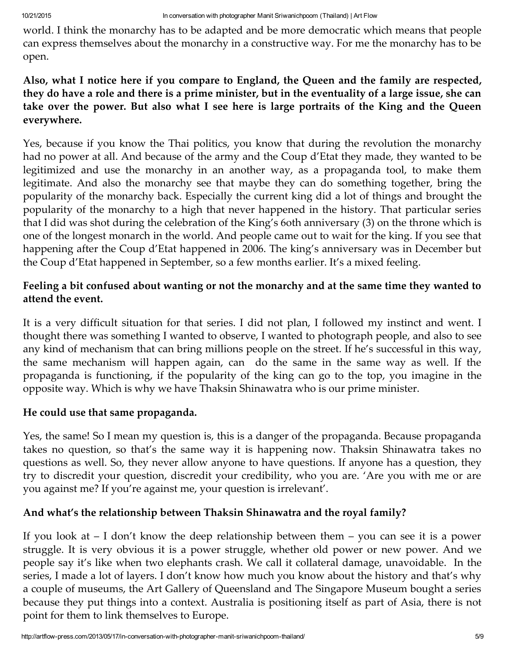world. I think the monarchy has to be adapted and be more democratic which means that people can express themselves about the monarchy in a constructive way. For me the monarchy has to be open.

# Also, what I notice here if you compare to England, the Queen and the family are respected, they do have a role and there is a prime minister, but in the eventuality of a large issue, she can take over the power. But also what I see here is large portraits of the King and the Queen everywhere.

Yes, because if you know the Thai politics, you know that during the revolution the monarchy had no power at all. And because of the army and the Coup d'Etat they made, they wanted to be legitimized and use the monarchy in an another way, as a propaganda tool, to make them legitimate. And also the monarchy see that maybe they can do something together, bring the popularity of the monarchy back. Especially the current king did a lot of things and brought the popularity of the monarchy to a high that never happened in the history. That particular series that I did was shot during the celebration of the King's 6oth anniversary (3) on the throne which is one of the longest monarch in the world. And people came out to wait for the king. If you see that happening after the Coup d'Etat happened in 2006. The king's anniversary was in December but the Coup d'Etat happened in September, so a few months earlier. It's a mixed feeling.

# Feeling a bit confused about wanting or not the monarchy and at the same time they wanted to attend the event.

It is a very difficult situation for that series. I did not plan, I followed my instinct and went. I thought there was something I wanted to observe, I wanted to photograph people, and also to see any kind of mechanism that can bring millions people on the street. If he's successful in this way, the same mechanism will happen again, can do the same in the same way as well. If the propaganda is functioning, if the popularity of the king can go to the top, you imagine in the opposite way. Which is why we have Thaksin Shinawatra who is our prime minister.

# He could use that same propaganda.

Yes, the same! So I mean my question is, this is a danger of the propaganda. Because propaganda takes no question, so that's the same way it is happening now. Thaksin Shinawatra takes no questions as well. So, they never allow anyone to have questions. If anyone has a question, they try to discredit your question, discredit your credibility, who you are. 'Are you with me or are you against me? If you're against me, your question is irrelevant'.

# And what's the relationship between Thaksin Shinawatra and the royal family?

If you look at – I don't know the deep relationship between them – you can see it is a power struggle. It is very obvious it is a power struggle, whether old power or new power. And we people say it's like when two elephants crash. We call it collateral damage, unavoidable. In the series, I made a lot of layers. I don't know how much you know about the history and that's why a couple of museums, the Art Gallery of Queensland and The Singapore Museum bought a series because they put things into a context. Australia is positioning itself as part of Asia, there is not point for them to link themselves to Europe.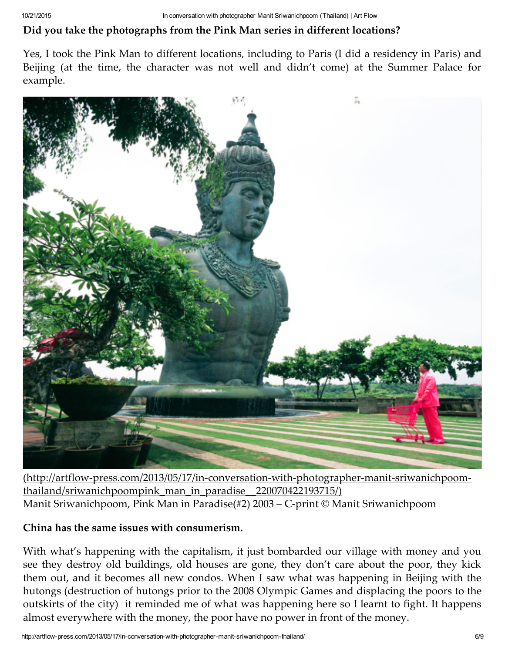# Did you take the photographs from the Pink Man series in different locations?

Yes, I took the Pink Man to different locations, including to Paris (I did a residency in Paris) and Beijing (at the time, the character was not well and didn't come) at the Summer Palace for example.



[\(http://artflow‑press.com/2013/05/17/in‑conversation‑with‑photographer‑manit‑sriwanichpoom‑](http://artflow-press.com/2013/05/17/in-conversation-with-photographer-manit-sriwanichpoom-thailand/sriwanichpoompink_man_in_paradise__220070422193715/) thailand/sriwanichpoompink\_man\_in\_paradise\_\_220070422193715/) Manit Sriwanichpoom, Pink Man in Paradise(#2) 2003 – C‑print © Manit Sriwanichpoom

#### China has the same issues with consumerism.

With what's happening with the capitalism, it just bombarded our village with money and you see they destroy old buildings, old houses are gone, they don't care about the poor, they kick them out, and it becomes all new condos. When I saw what was happening in Beijing with the hutongs (destruction of hutongs prior to the 2008 Olympic Games and displacing the poors to the outskirts of the city) it reminded me of what was happening here so I learnt to fight. It happens almost everywhere with the money, the poor have no power in front of the money.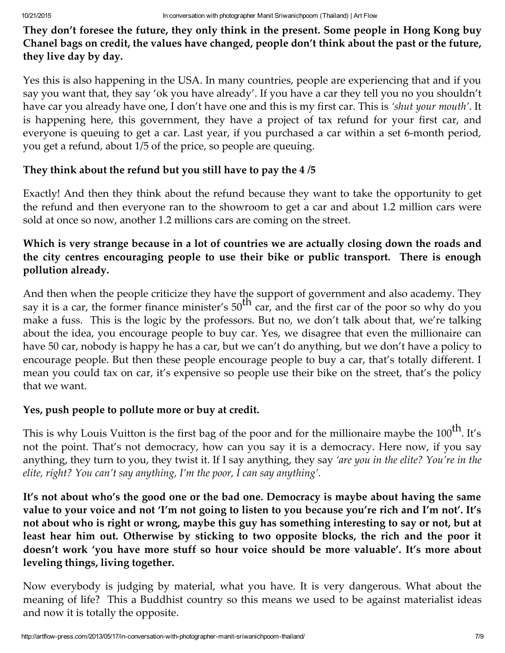They don't foresee the future, they only think in the present. Some people in Hong Kong buy Chanel bags on credit, the values have changed, people don't think about the past or the future, they live day by day.

Yes this is also happening in the USA. In many countries, people are experiencing that and if you say you want that, they say 'ok you have already'. If you have a car they tell you no you shouldn't have car you already have one, I don't have one and this is my first car. This is 'shut your mouth'. It is happening here, this government, they have a project of tax refund for your first car, and everyone is queuing to get a car. Last year, if you purchased a car within a set 6‑month period, you get a refund, about 1/5 of the price, so people are queuing.

# They think about the refund but you still have to pay the 4 /5

Exactly! And then they think about the refund because they want to take the opportunity to get the refund and then everyone ran to the showroom to get a car and about 1.2 million cars were sold at once so now, another 1.2 millions cars are coming on the street.

# Which is very strange because in a lot of countries we are actually closing down the roads and the city centres encouraging people to use their bike or public transport. There is enough pollution already.

And then when the people criticize they have the support of government and also academy. They say it is a car, the former finance minister's  $50^{th}$  car, and the first car of the poor so why do you make a fuss. This is the logic by the professors. But no, we don't talk about that, we're talking about the idea, you encourage people to buy car. Yes, we disagree that even the millionaire can have 50 car, nobody is happy he has a car, but we can't do anything, but we don't have a policy to encourage people. But then these people encourage people to buy a car, that's totally different. I mean you could tax on car, it's expensive so people use their bike on the street, that's the policy that we want.

# Yes, push people to pollute more or buy at credit.

This is why Louis Vuitton is the first bag of the poor and for the millionaire maybe the  $100^{\rm th}$ . It's not the point. That's not democracy, how can you say it is a democracy. Here now, if you say anything, they turn to you, they twist it. If I say anything, they say 'are you in the elite? You're in the elite, right? You can't say anything, I'm the poor, I can say anything'.

It's not about who's the good one or the bad one. Democracy is maybe about having the same value to your voice and not 'I'm not going to listen to you because you're rich and I'm not'. It's not about who is right or wrong, maybe this guy has something interesting to say or not, but at least hear him out. Otherwise by sticking to two opposite blocks, the rich and the poor it doesn't work 'you have more stuff so hour voice should be more valuable'. It's more about leveling things, living together.

Now everybody is judging by material, what you have. It is very dangerous. What about the meaning of life? This a Buddhist country so this means we used to be against materialist ideas and now it is totally the opposite.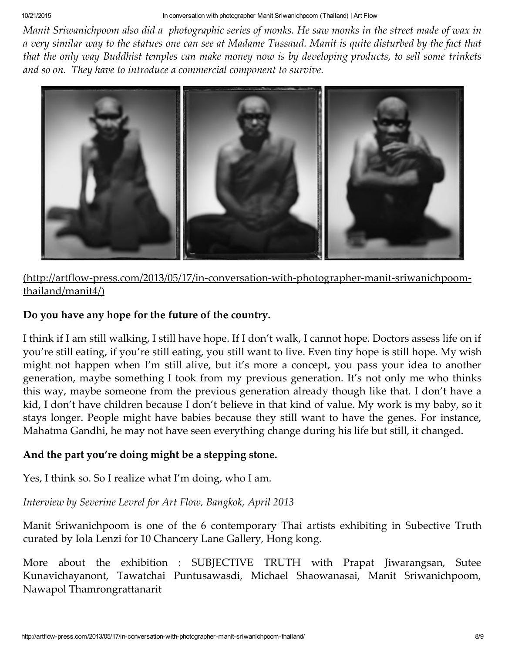Manit Sriwanichpoom also did a photographic series of monks. He saw monks in the street made of wax in a very similar way to the statues one can see at Madame Tussaud. Manit is quite disturbed by the fact that that the only way Buddhist temples can make money now is by developing products, to sell some trinkets and so on. They have to introduce a commercial component to survive.



# (http://artflow‑press.com/2013/05/17/in‑conversation‑with‑photographer‑manit‑sriwanichpoom‑ thailand/manit4/)

# Do you have any hope for the future of the country.

I think if I am still walking, I still have hope. If I don't walk, I cannot hope. Doctors assess life on if you're still eating, if you're still eating, you still want to live. Even tiny hope is still hope. My wish might not happen when I'm still alive, but it's more a concept, you pass your idea to another generation, maybe something I took from my previous generation. It's not only me who thinks this way, maybe someone from the previous generation already though like that. I don't have a kid, I don't have children because I don't believe in that kind of value. My work is my baby, so it stays longer. People might have babies because they still want to have the genes. For instance, Mahatma Gandhi, he may not have seen everything change during his life but still, it changed.

# And the part you're doing might be a stepping stone.

Yes, I think so. So I realize what I'm doing, who I am.

Interview by Severine Levrel for Art Flow, Bangkok, April 2013

Manit Sriwanichpoom is one of the 6 contemporary Thai artists exhibiting in Subective Truth curated by Iola Lenzi for 10 Chancery Lane Gallery, Hong kong.

More about the exhibition : SUBJECTIVE TRUTH with Prapat Jiwarangsan, Sutee Kunavichayanont, Tawatchai Puntusawasdi, Michael Shaowanasai, Manit Sriwanichpoom, Nawapol Thamrongrattanarit